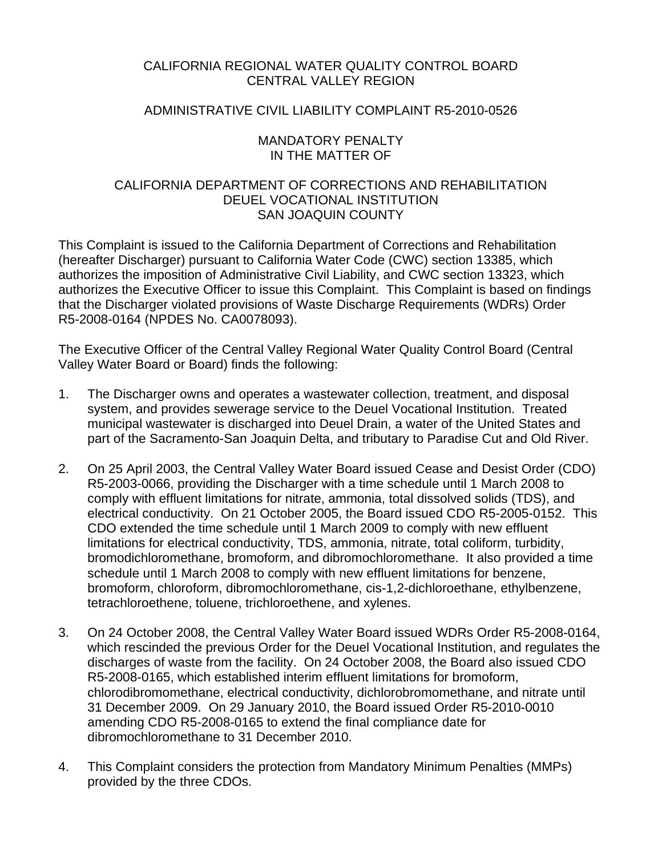## CALIFORNIA REGIONAL WATER QUALITY CONTROL BOARD CENTRAL VALLEY REGION

### ADMINISTRATIVE CIVIL LIABILITY COMPLAINT R5-2010-0526

### MANDATORY PENALTY IN THE MATTER OF

## CALIFORNIA DEPARTMENT OF CORRECTIONS AND REHABILITATION DEUEL VOCATIONAL INSTITUTION SAN JOAQUIN COUNTY

This Complaint is issued to the California Department of Corrections and Rehabilitation (hereafter Discharger) pursuant to California Water Code (CWC) section 13385, which authorizes the imposition of Administrative Civil Liability, and CWC section 13323, which authorizes the Executive Officer to issue this Complaint. This Complaint is based on findings that the Discharger violated provisions of Waste Discharge Requirements (WDRs) Order R5-2008-0164 (NPDES No. CA0078093).

The Executive Officer of the Central Valley Regional Water Quality Control Board (Central Valley Water Board or Board) finds the following:

- 1. The Discharger owns and operates a wastewater collection, treatment, and disposal system, and provides sewerage service to the Deuel Vocational Institution. Treated municipal wastewater is discharged into Deuel Drain, a water of the United States and part of the Sacramento-San Joaquin Delta, and tributary to Paradise Cut and Old River.
- 2. On 25 April 2003, the Central Valley Water Board issued Cease and Desist Order (CDO) R5-2003-0066, providing the Discharger with a time schedule until 1 March 2008 to comply with effluent limitations for nitrate, ammonia, total dissolved solids (TDS), and electrical conductivity. On 21 October 2005, the Board issued CDO R5-2005-0152. This CDO extended the time schedule until 1 March 2009 to comply with new effluent limitations for electrical conductivity, TDS, ammonia, nitrate, total coliform, turbidity, bromodichloromethane, bromoform, and dibromochloromethane. It also provided a time schedule until 1 March 2008 to comply with new effluent limitations for benzene, bromoform, chloroform, dibromochloromethane, cis-1,2-dichloroethane, ethylbenzene, tetrachloroethene, toluene, trichloroethene, and xylenes.
- 3. On 24 October 2008, the Central Valley Water Board issued WDRs Order R5-2008-0164, which rescinded the previous Order for the Deuel Vocational Institution, and regulates the discharges of waste from the facility. On 24 October 2008, the Board also issued CDO R5-2008-0165, which established interim effluent limitations for bromoform, chlorodibromomethane, electrical conductivity, dichlorobromomethane, and nitrate until 31 December 2009. On 29 January 2010, the Board issued Order R5-2010-0010 amending CDO R5-2008-0165 to extend the final compliance date for dibromochloromethane to 31 December 2010.
- 4. This Complaint considers the protection from Mandatory Minimum Penalties (MMPs) provided by the three CDOs.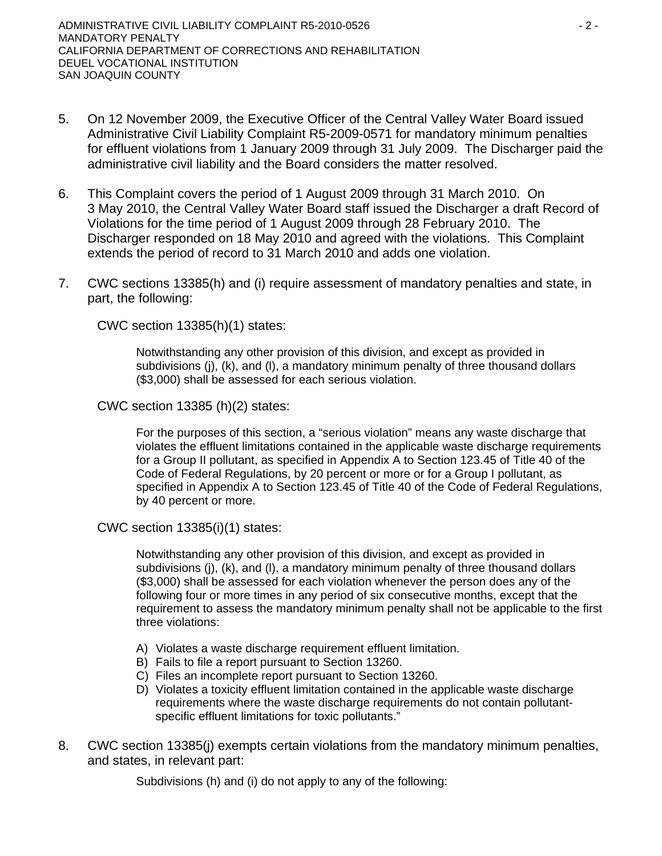- 5. On 12 November 2009, the Executive Officer of the Central Valley Water Board issued Administrative Civil Liability Complaint R5-2009-0571 for mandatory minimum penalties for effluent violations from 1 January 2009 through 31 July 2009. The Discharger paid the administrative civil liability and the Board considers the matter resolved.
- 6. This Complaint covers the period of 1 August 2009 through 31 March 2010. On 3 May 2010, the Central Valley Water Board staff issued the Discharger a draft Record of Violations for the time period of 1 August 2009 through 28 February 2010. The Discharger responded on 18 May 2010 and agreed with the violations. This Complaint extends the period of record to 31 March 2010 and adds one violation.
- 7. CWC sections 13385(h) and (i) require assessment of mandatory penalties and state, in part, the following:

CWC section 13385(h)(1) states:

Notwithstanding any other provision of this division, and except as provided in subdivisions (j), (k), and (l), a mandatory minimum penalty of three thousand dollars (\$3,000) shall be assessed for each serious violation.

CWC section 13385 (h)(2) states:

For the purposes of this section, a "serious violation" means any waste discharge that violates the effluent limitations contained in the applicable waste discharge requirements for a Group II pollutant, as specified in Appendix A to Section 123.45 of Title 40 of the Code of Federal Regulations, by 20 percent or more or for a Group I pollutant, as specified in Appendix A to Section 123.45 of Title 40 of the Code of Federal Regulations, by 40 percent or more.

CWC section 13385(i)(1) states:

Notwithstanding any other provision of this division, and except as provided in subdivisions (j), (k), and (l), a mandatory minimum penalty of three thousand dollars (\$3,000) shall be assessed for each violation whenever the person does any of the following four or more times in any period of six consecutive months, except that the requirement to assess the mandatory minimum penalty shall not be applicable to the first three violations:

- A) Violates a waste discharge requirement effluent limitation.
- B) Fails to file a report pursuant to Section 13260.
- C) Files an incomplete report pursuant to Section 13260.
- D) Violates a toxicity effluent limitation contained in the applicable waste discharge requirements where the waste discharge requirements do not contain pollutantspecific effluent limitations for toxic pollutants."
- 8. CWC section 13385(j) exempts certain violations from the mandatory minimum penalties, and states, in relevant part:

Subdivisions (h) and (i) do not apply to any of the following: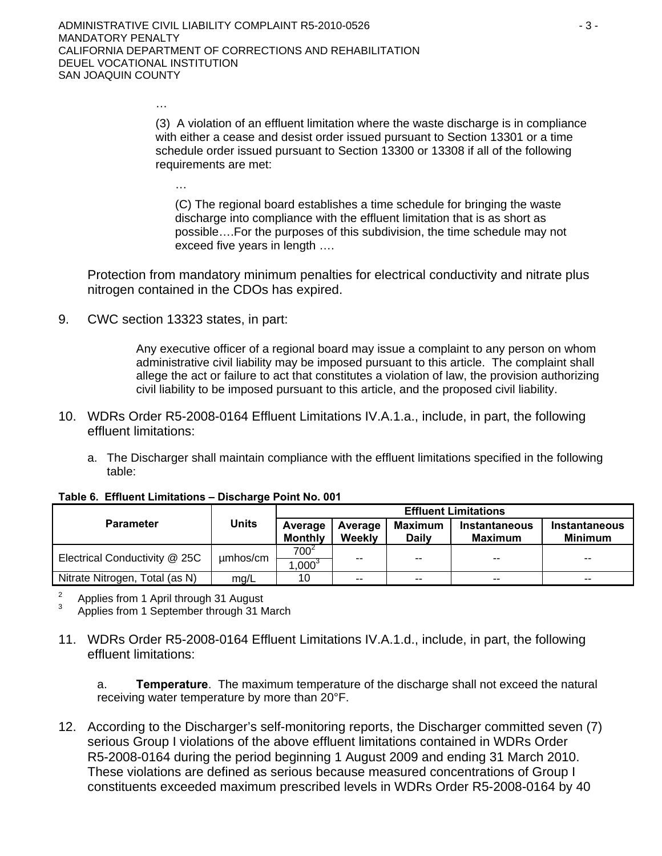…

…

(3) A violation of an effluent limitation where the waste discharge is in compliance with either a cease and desist order issued pursuant to Section 13301 or a time schedule order issued pursuant to Section 13300 or 13308 if all of the following requirements are met:

(C) The regional board establishes a time schedule for bringing the waste discharge into compliance with the effluent limitation that is as short as possible….For the purposes of this subdivision, the time schedule may not exceed five years in length ….

Protection from mandatory minimum penalties for electrical conductivity and nitrate plus nitrogen contained in the CDOs has expired.

9. CWC section 13323 states, in part:

Any executive officer of a regional board may issue a complaint to any person on whom administrative civil liability may be imposed pursuant to this article. The complaint shall allege the act or failure to act that constitutes a violation of law, the provision authorizing civil liability to be imposed pursuant to this article, and the proposed civil liability.

- 10. WDRs Order R5-2008-0164 Effluent Limitations IV.A.1.a., include, in part, the following effluent limitations:
	- a. The Discharger shall maintain compliance with the effluent limitations specified in the following table:

|                                | <b>Units</b> | <b>Effluent Limitations</b> |                   |                         |                                 |                                 |  |
|--------------------------------|--------------|-----------------------------|-------------------|-------------------------|---------------------------------|---------------------------------|--|
| <b>Parameter</b>               |              | Average<br><b>Monthly</b>   | Average<br>Weekly | Maximum<br><b>Daily</b> | <b>Instantaneous</b><br>Maximum | Instantaneous<br><b>Minimum</b> |  |
| Electrical Conductivity @ 25C  | umhos/cm     | $700^2$<br>$1,000^{3}$      | --                | --                      | --                              | $- -$                           |  |
| Nitrate Nitrogen, Total (as N) | mg/L         | 10                          | $-$               | $-$                     | $- -$                           | $- -$                           |  |

**Table 6. Effluent Limitations – Discharge Point No. 001** 

2 Applies from 1 April through 31 August

3 Applies from 1 September through 31 March

11. WDRs Order R5-2008-0164 Effluent Limitations IV.A.1.d., include, in part, the following effluent limitations:

a. **Temperature**. The maximum temperature of the discharge shall not exceed the natural receiving water temperature by more than 20°F.

12. According to the Discharger's self-monitoring reports, the Discharger committed seven (7) serious Group I violations of the above effluent limitations contained in WDRs Order R5-2008-0164 during the period beginning 1 August 2009 and ending 31 March 2010. These violations are defined as serious because measured concentrations of Group I constituents exceeded maximum prescribed levels in WDRs Order R5-2008-0164 by 40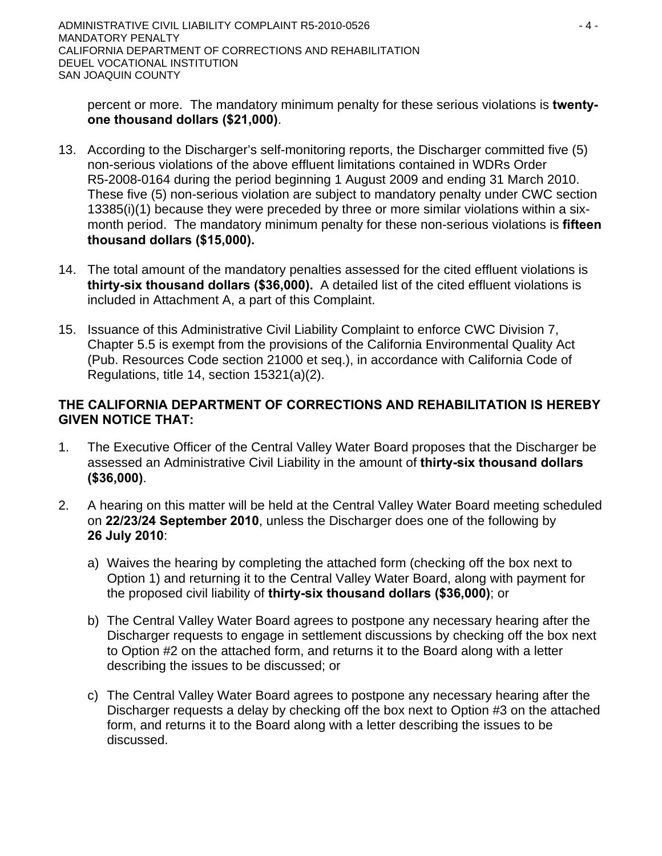percent or more. The mandatory minimum penalty for these serious violations is **twentyone thousand dollars (\$21,000)**.

- 13. According to the Discharger's self-monitoring reports, the Discharger committed five (5) non-serious violations of the above effluent limitations contained in WDRs Order R5-2008-0164 during the period beginning 1 August 2009 and ending 31 March 2010. These five (5) non-serious violation are subject to mandatory penalty under CWC section 13385(i)(1) because they were preceded by three or more similar violations within a sixmonth period. The mandatory minimum penalty for these non-serious violations is **fifteen thousand dollars (\$15,000).**
- 14. The total amount of the mandatory penalties assessed for the cited effluent violations is **thirty-six thousand dollars (\$36,000).** A detailed list of the cited effluent violations is included in Attachment A, a part of this Complaint.
- 15. Issuance of this Administrative Civil Liability Complaint to enforce CWC Division 7, Chapter 5.5 is exempt from the provisions of the California Environmental Quality Act (Pub. Resources Code section 21000 et seq.), in accordance with California Code of Regulations, title 14, section 15321(a)(2).

# **THE CALIFORNIA DEPARTMENT OF CORRECTIONS AND REHABILITATION IS HEREBY GIVEN NOTICE THAT:**

- 1. The Executive Officer of the Central Valley Water Board proposes that the Discharger be assessed an Administrative Civil Liability in the amount of **thirty-six thousand dollars (\$36,000)**.
- 2. A hearing on this matter will be held at the Central Valley Water Board meeting scheduled on **22/23/24 September 2010**, unless the Discharger does one of the following by **26 July 2010**:
	- a) Waives the hearing by completing the attached form (checking off the box next to Option 1) and returning it to the Central Valley Water Board, along with payment for the proposed civil liability of **thirty-six thousand dollars (\$36,000)**; or
	- b) The Central Valley Water Board agrees to postpone any necessary hearing after the Discharger requests to engage in settlement discussions by checking off the box next to Option #2 on the attached form, and returns it to the Board along with a letter describing the issues to be discussed; or
	- c) The Central Valley Water Board agrees to postpone any necessary hearing after the Discharger requests a delay by checking off the box next to Option #3 on the attached form, and returns it to the Board along with a letter describing the issues to be discussed.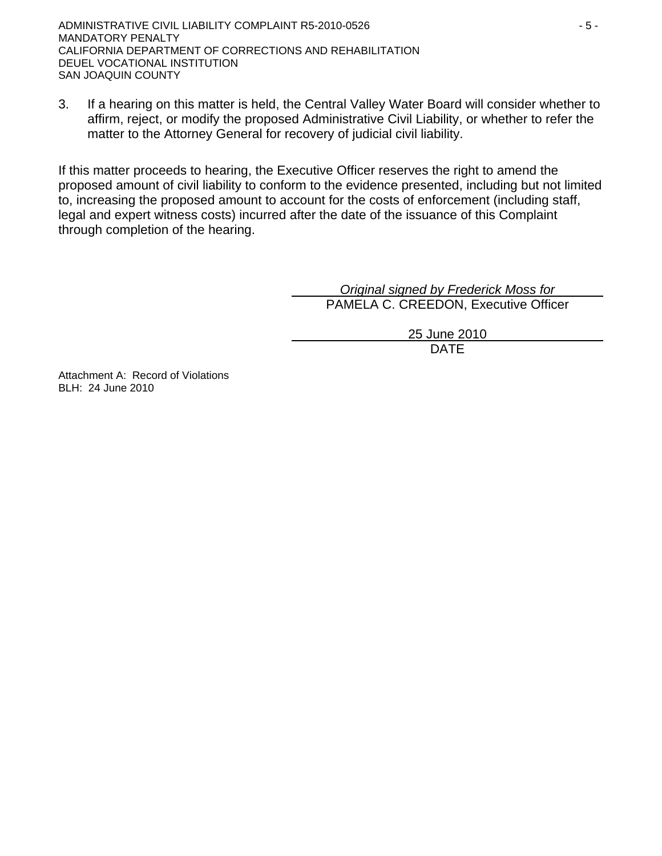3. If a hearing on this matter is held, the Central Valley Water Board will consider whether to affirm, reject, or modify the proposed Administrative Civil Liability, or whether to refer the matter to the Attorney General for recovery of judicial civil liability.

If this matter proceeds to hearing, the Executive Officer reserves the right to amend the proposed amount of civil liability to conform to the evidence presented, including but not limited to, increasing the proposed amount to account for the costs of enforcement (including staff, legal and expert witness costs) incurred after the date of the issuance of this Complaint through completion of the hearing.

> *Original signed by Frederick Moss for* PAMELA C. CREEDON, Executive Officer

> > 25 June 2010 DATE

Attachment A: Record of Violations BLH: 24 June 2010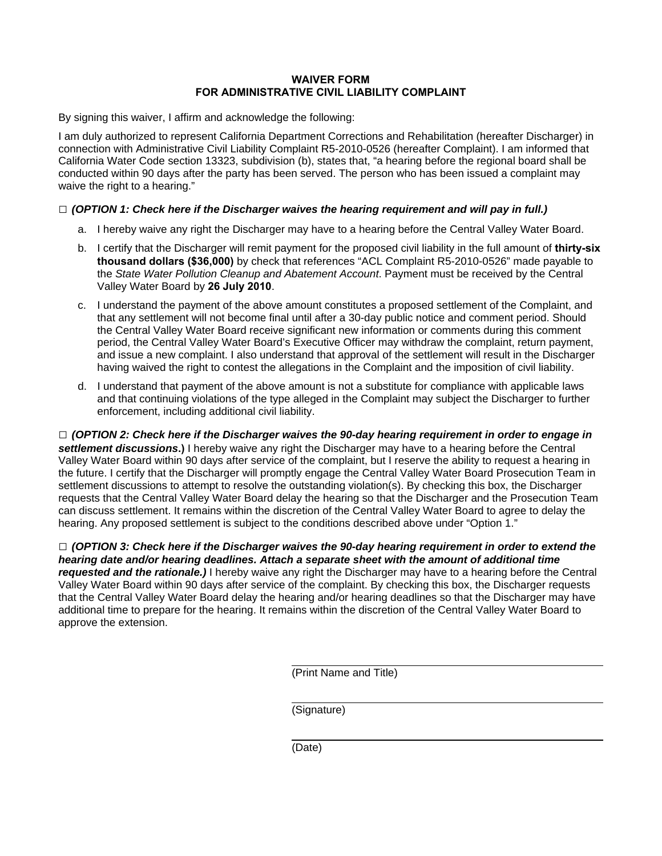### **WAIVER FORM FOR ADMINISTRATIVE CIVIL LIABILITY COMPLAINT**

By signing this waiver, I affirm and acknowledge the following:

I am duly authorized to represent California Department Corrections and Rehabilitation (hereafter Discharger) in connection with Administrative Civil Liability Complaint R5-2010-0526 (hereafter Complaint). I am informed that California Water Code section 13323, subdivision (b), states that, "a hearing before the regional board shall be conducted within 90 days after the party has been served. The person who has been issued a complaint may waive the right to a hearing."

#### **□** *(OPTION 1: Check here if the Discharger waives the hearing requirement and will pay in full.)*

- a. I hereby waive any right the Discharger may have to a hearing before the Central Valley Water Board.
- b. I certify that the Discharger will remit payment for the proposed civil liability in the full amount of **thirty-six thousand dollars (\$36,000)** by check that references "ACL Complaint R5-2010-0526" made payable to the *State Water Pollution Cleanup and Abatement Account*. Payment must be received by the Central Valley Water Board by **26 July 2010**.
- c. I understand the payment of the above amount constitutes a proposed settlement of the Complaint, and that any settlement will not become final until after a 30-day public notice and comment period. Should the Central Valley Water Board receive significant new information or comments during this comment period, the Central Valley Water Board's Executive Officer may withdraw the complaint, return payment, and issue a new complaint. I also understand that approval of the settlement will result in the Discharger having waived the right to contest the allegations in the Complaint and the imposition of civil liability.
- d. I understand that payment of the above amount is not a substitute for compliance with applicable laws and that continuing violations of the type alleged in the Complaint may subject the Discharger to further enforcement, including additional civil liability.

**□** *(OPTION 2: Check here if the Discharger waives the 90-day hearing requirement in order to engage in settlement discussions***.)** I hereby waive any right the Discharger may have to a hearing before the Central Valley Water Board within 90 days after service of the complaint, but I reserve the ability to request a hearing in the future. I certify that the Discharger will promptly engage the Central Valley Water Board Prosecution Team in settlement discussions to attempt to resolve the outstanding violation(s). By checking this box, the Discharger requests that the Central Valley Water Board delay the hearing so that the Discharger and the Prosecution Team can discuss settlement. It remains within the discretion of the Central Valley Water Board to agree to delay the hearing. Any proposed settlement is subject to the conditions described above under "Option 1."

**□** *(OPTION 3: Check here if the Discharger waives the 90-day hearing requirement in order to extend the hearing date and/or hearing deadlines. Attach a separate sheet with the amount of additional time requested and the rationale.)* I hereby waive any right the Discharger may have to a hearing before the Central Valley Water Board within 90 days after service of the complaint. By checking this box, the Discharger requests that the Central Valley Water Board delay the hearing and/or hearing deadlines so that the Discharger may have additional time to prepare for the hearing. It remains within the discretion of the Central Valley Water Board to approve the extension.

(Print Name and Title)

(Signature)

(Date)